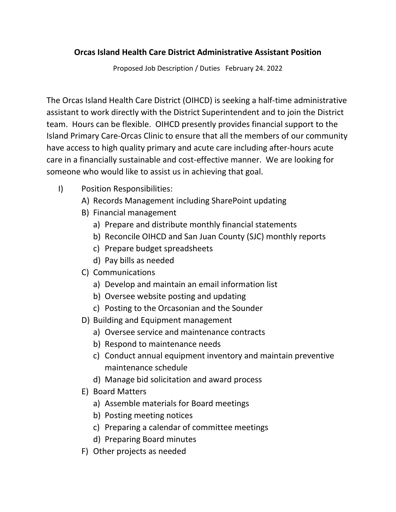## **Orcas Island Health Care District Administrative Assistant Position**

Proposed Job Description / Duties February 24. 2022

The Orcas Island Health Care District (OIHCD) is seeking a half-time administrative assistant to work directly with the District Superintendent and to join the District team. Hours can be flexible. OIHCD presently provides financial support to the Island Primary Care-Orcas Clinic to ensure that all the members of our community have access to high quality primary and acute care including after-hours acute care in a financially sustainable and cost-effective manner. We are looking for someone who would like to assist us in achieving that goal.

- I) Position Responsibilities:
	- A) Records Management including SharePoint updating
	- B) Financial management
		- a) Prepare and distribute monthly financial statements
		- b) Reconcile OIHCD and San Juan County (SJC) monthly reports
		- c) Prepare budget spreadsheets
		- d) Pay bills as needed
	- C) Communications
		- a) Develop and maintain an email information list
		- b) Oversee website posting and updating
		- c) Posting to the Orcasonian and the Sounder
	- D) Building and Equipment management
		- a) Oversee service and maintenance contracts
		- b) Respond to maintenance needs
		- c) Conduct annual equipment inventory and maintain preventive maintenance schedule
		- d) Manage bid solicitation and award process
	- E) Board Matters
		- a) Assemble materials for Board meetings
		- b) Posting meeting notices
		- c) Preparing a calendar of committee meetings
		- d) Preparing Board minutes
	- F) Other projects as needed